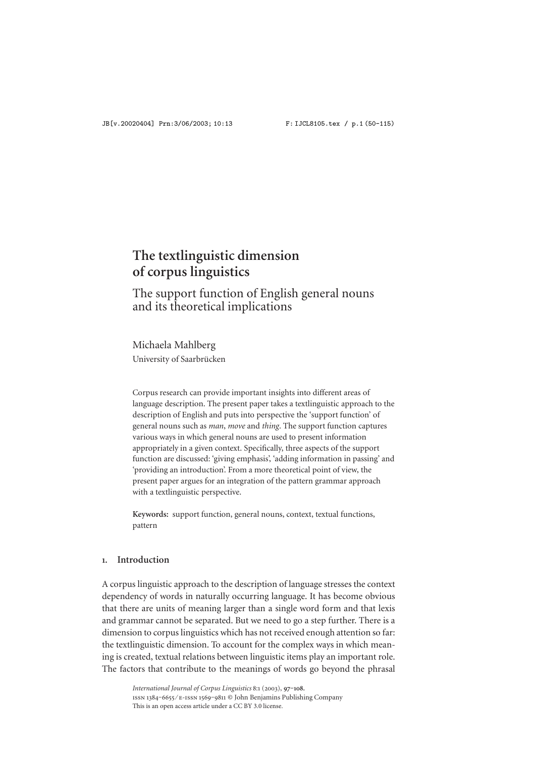# **The textlinguistic dimension of corpus linguistics**

The support function of English general nouns and its theoretical implications

Michaela Mahlberg University of Saarbrücken

Corpus research can provide important insights into different areas of language description. The present paper takes a textlinguistic approach to the description of English and puts into perspective the 'support function' of general nouns such as *man*, *move* and *thing*. The support function captures various ways in which general nouns are used to present information appropriately in a given context. Specifically, three aspects of the support function are discussed: 'giving emphasis', 'adding information in passing' and 'providing an introduction'. From a more theoretical point of view, the present paper argues for an integration of the pattern grammar approach with a textlinguistic perspective.

**Keywords:** support function, general nouns, context, textual functions, pattern

# **. Introduction**

A corpus linguistic approach to the description of language stresses the context dependency of words in naturally occurring language. It has become obvious that there are units of meaning larger than a single word form and that lexis and grammar cannot be separated. But we need to go a step further. There is a dimension to corpus linguistics which has not received enough attention so far: the textlinguistic dimension. To account for the complex ways in which meaning is created, textual relations between linguistic items play an important role. The factors that contribute to the meanings of words go beyond the phrasal

> *International Journal of Corpus Linguistics* 8:1 (2003), 97-108. ISSN 1384-6655/E-ISSN 1569-9811 © John Benjamins Publishing Company This is an open access article under a CC BY 3.0 license.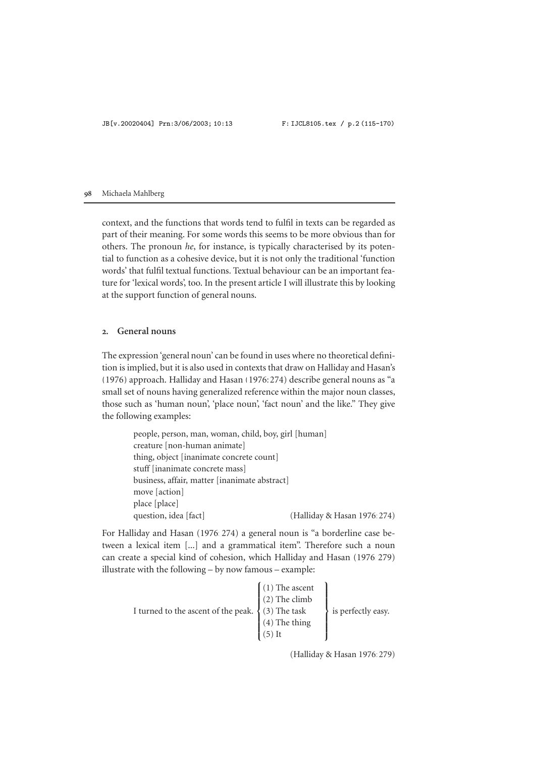context, and the functions that words tend to fulfil in texts can be regarded as part of their meaning. For some words this seems to be more obvious than for others. The pronoun *he*, for instance, is typically characterised by its potential to function as a cohesive device, but it is not only the traditional 'function words' that fulfil textual functions. Textual behaviour can be an important feature for 'lexical words', too. In the present article I will illustrate this by looking at the support function of general nouns.

# **. General nouns**

The expression 'general noun' can be found in uses where no theoretical definition is implied, but it is also used in contexts that draw on Halliday and Hasan's [\(1976\)](#page-10-0) approach. Halliday and Hasan [\(1976:](#page-10-0)274) describe general nouns as "a small set of nouns having generalized reference within the major noun classes, those such as 'human noun', 'place noun', 'fact noun' and the like." They give the following examples:

| people, person, man, woman, child, boy, girl [human] |                             |
|------------------------------------------------------|-----------------------------|
| creature [non-human animate]                         |                             |
| thing, object [inanimate concrete count]             |                             |
| stuff [inanimate concrete mass]                      |                             |
| business, affair, matter [inanimate abstract]        |                             |
| move [action]                                        |                             |
| place [place]                                        |                             |
| question, idea [fact]                                | (Halliday & Hasan 1976:274) |
|                                                      |                             |

For Halliday and Hasan [\(1976:](#page-10-0)274) a general noun is "a borderline case between a lexical item [...] and a grammatical item". Therefore such a noun can create a special kind of cohesion, which Halliday and Hasan [\(1976:](#page-10-0) 279) illustrate with the following – by now famous – example:

| I turned to the ascent of the peak. $\begin{cases} (1)$ The ascent (2) The climb<br>(3) The task (4) The thing |          | is perfectly easy. |
|----------------------------------------------------------------------------------------------------------------|----------|--------------------|
|                                                                                                                | $(5)$ It |                    |

(Halliday & Hasan [1976:](#page-10-0)279)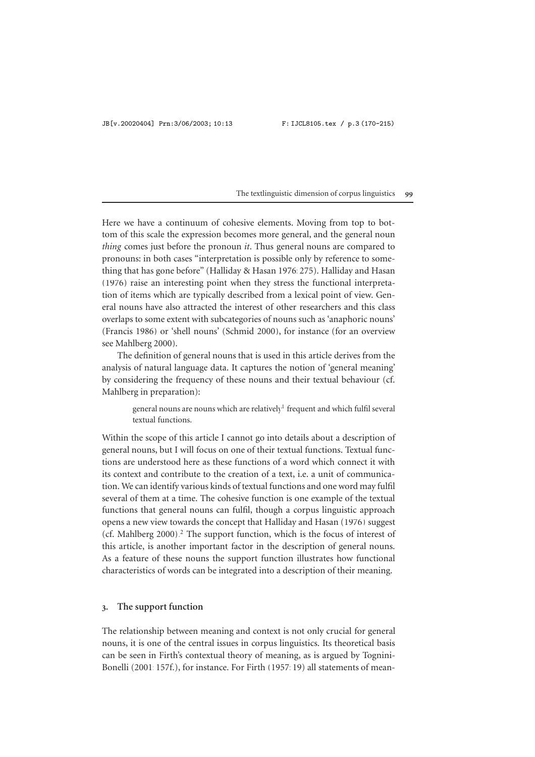Here we have a continuum of cohesive elements. Moving from top to bottom of this scale the expression becomes more general, and the general noun *thing* comes just before the pronoun *it*. Thus general nouns are compared to pronouns: in both cases "interpretation is possible only by reference to something that has gone before" (Halliday & Hasan [1976:](#page-10-0)275). Halliday and Hasan [\(1976\)](#page-10-0) raise an interesting point when they stress the functional interpretation of items which are typically described from a lexical point of view. General nouns have also attracted the interest of other researchers and this class overlaps to some extent with subcategories of nouns such as 'anaphoric nouns' (Francis [1986\)](#page-10-1) or 'shell nouns' (Schmid [2000\)](#page-10-2), for instance (for an overview see Mahlberg [2000\)](#page-10-3).

The definition of general nouns that is used in this article derives from the analysis of natural language data. It captures the notion of 'general meaning' by considering the frequency of these nouns and their textual behaviour (cf. Mahlberg in preparation):

> general nouns are nouns which are relatively<sup>1</sup> frequent and which fulfil several textual functions.

Within the scope of this article I cannot go into details about a description of general nouns, but I will focus on one of their textual functions. Textual functions are understood here as these functions of a word which connect it with its context and contribute to the creation of a text, i.e. a unit of communication. We can identify various kinds of textual functions and one word may fulfil several of them at a time. The cohesive function is one example of the textual functions that general nouns can fulfil, though a corpus linguistic approach opens a new view towards the concept that Halliday and Hasan [\(1976\)](#page-10-0) suggest (cf. Mahlberg  $2000$  $2000$ ).<sup>2</sup> The support function, which is the focus of interest of this article, is another important factor in the description of general nouns. As a feature of these nouns the support function illustrates how functional characteristics of words can be integrated into a description of their meaning.

# **. The support function**

The relationship between meaning and context is not only crucial for general nouns, it is one of the central issues in corpus linguistics. Its theoretical basis can be seen in Firth's contextual theory of meaning, as is argued by Tognini-Bonelli [\(2001:](#page-11-0)157f.), for instance. For Firth [\(1957:](#page-10-6)19) all statements of mean-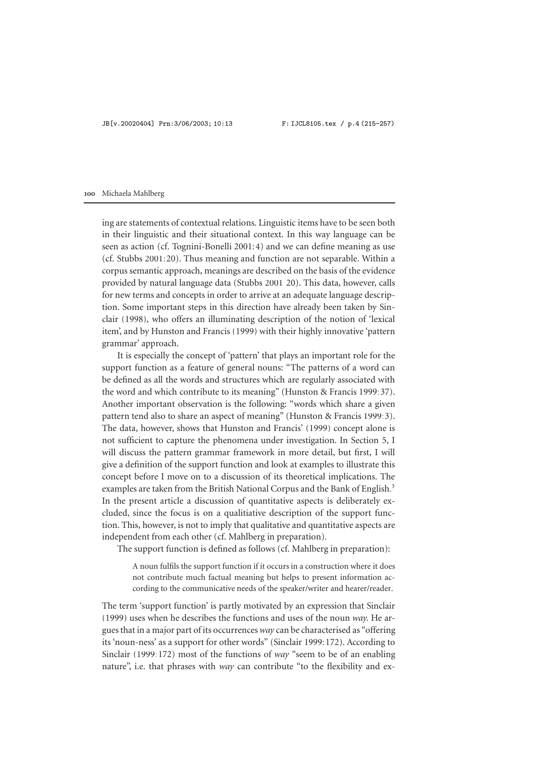ing are statements of contextual relations. Linguistic items have to be seen both in their linguistic and their situational context. In this way language can be seen as action (cf. Tognini-Bonelli [2001:](#page-11-0)4) and we can define meaning as use (cf. Stubbs [2001:](#page-11-1)20). Thus meaning and function are not separable. Within a corpus semantic approach, meanings are described on the basis of the evidence provided by natural language data (Stubbs [2001:](#page-11-1) 20). This data, however, calls for new terms and concepts in order to arrive at an adequate language description. Some important steps in this direction have already been taken by Sinclair [\(1998\)](#page-10-7), who offers an illuminating description of the notion of 'lexical item', and by Hunston and Francis [\(1999\)](#page-10-8) with their highly innovative 'pattern grammar' approach.

It is especially the concept of 'pattern' that plays an important role for the support function as a feature of general nouns: "The patterns of a word can be defined as all the words and structures which are regularly associated with the word and which contribute to its meaning" (Hunston & Francis [1999:](#page-10-8)37). Another important observation is the following: "words which share a given pattern tend also to share an aspect of meaning" (Hunston & Francis [1999:](#page-10-8)3). The data, however, shows that Hunston and Francis' [\(1999\)](#page-10-8) concept alone is not sufficient to capture the phenomena under investigation. In Section 5, I will discuss the pattern grammar framework in more detail, but first, I will give a definition of the support function and look at examples to illustrate this concept before I move on to a discussion of its theoretical implications. The examples are taken from the British National Corpus and the Bank of English.<sup>3</sup> In the present article a discussion of quantitative aspects is deliberately excluded, since the focus is on a qualitiative description of the support function. This, however, is not to imply that qualitative and quantitative aspects are independent from each other (cf. Mahlberg in preparation).

The support function is defined as follows (cf. Mahlberg in preparation):

A noun fulfils the support function if it occurs in a construction where it does not contribute much factual meaning but helps to present information according to the communicative needs of the speaker/writer and hearer/reader.

The term 'support function' is partly motivated by an expression that Sinclair [\(1999\)](#page-11-2) uses when he describes the functions and uses of the noun *way.* He argues that in a major part of its occurrences *way* can be characterised as "offering its 'noun-ness' as a support for other words" (Sinclair [1999:](#page-11-2) 172). According to Sinclair [\(1999:](#page-11-2) 172) most of the functions of *way* "seem to be of an enabling nature", i.e. that phrases with *way* can contribute "to the flexibility and ex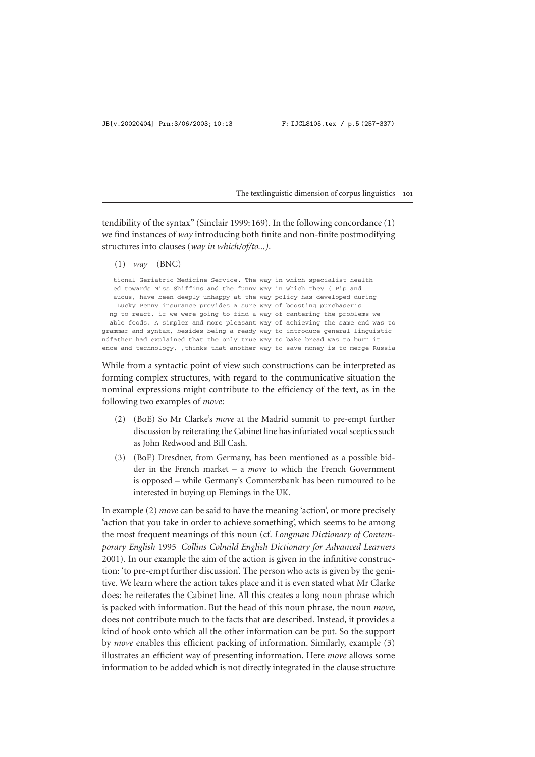tendibility of the syntax" (Sinclair [1999:](#page-11-2)169). In the following concordance (1) we find instances of *way* introducing both finite and non-finite postmodifying structures into clauses (*way in which/of/to...)*.

(1) *way* (BNC)

tional Geriatric Medicine Service. The way in which specialist health ed towards Miss Shiffins and the funny way in which they ( Pip and aucus, have been deeply unhappy at the way policy has developed during Lucky Penny insurance provides a sure way of boosting purchaser's ng to react, if we were going to find a way of cantering the problems we able foods. A simpler and more pleasant way of achieving the same end was to grammar and syntax, besides being a ready way to introduce general linguistic ndfather had explained that the only true way to bake bread was to burn it ence and technology, , thinks that another way to save money is to merge Russia

While from a syntactic point of view such constructions can be interpreted as forming complex structures, with regard to the communicative situation the nominal expressions might contribute to the efficiency of the text, as in the following two examples of *move*:

- (2) (BoE) So Mr Clarke's *move* at the Madrid summit to pre-empt further discussion by reiterating the Cabinet line has infuriated vocal sceptics such as John Redwood and Bill Cash.
- (3) (BoE) Dresdner, from Germany, has been mentioned as a possible bidder in the French market – a *move* to which the French Government is opposed – while Germany's Commerzbank has been rumoured to be interested in buying up Flemings in the UK.

In example (2) *move* can be said to have the meaning 'action', or more precisely 'action that you take in order to achieve something', which seems to be among the most frequent meanings of this noun (cf. *Longman Dictionary of Contemporary English* [1995,](#page-10-10) *Collins Cobuild English Dictionary for Advanced Learners* [2001\)](#page-10-11). In our example the aim of the action is given in the infinitive construction: 'to pre-empt further discussion'. The person who acts is given by the genitive. We learn where the action takes place and it is even stated what Mr Clarke does: he reiterates the Cabinet line. All this creates a long noun phrase which is packed with information. But the head of this noun phrase, the noun *move*, does not contribute much to the facts that are described. Instead, it provides a kind of hook onto which all the other information can be put. So the support by *move* enables this efficient packing of information. Similarly, example (3) illustrates an efficient way of presenting information. Here *move* allows some information to be added which is not directly integrated in the clause structure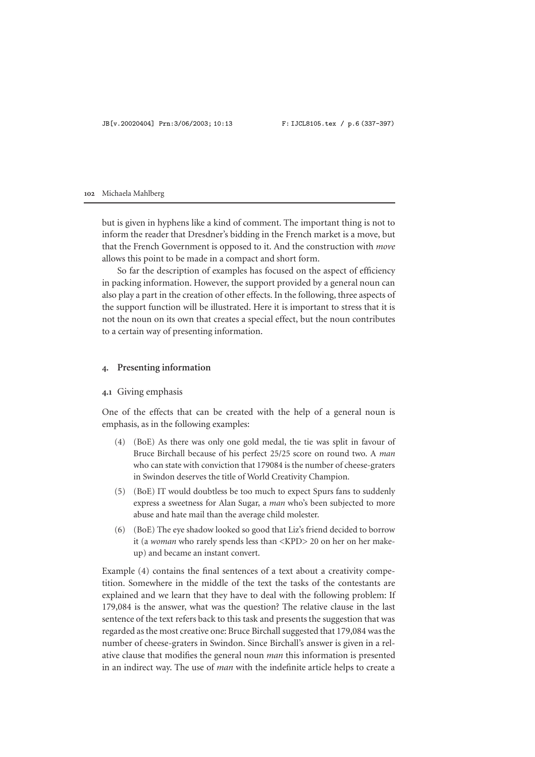but is given in hyphens like a kind of comment. The important thing is not to inform the reader that Dresdner's bidding in the French market is a move, but that the French Government is opposed to it. And the construction with *move* allows this point to be made in a compact and short form.

So far the description of examples has focused on the aspect of efficiency in packing information. However, the support provided by a general noun can also play a part in the creation of other effects. In the following, three aspects of the support function will be illustrated. Here it is important to stress that it is not the noun on its own that creates a special effect, but the noun contributes to a certain way of presenting information.

# **. Presenting information**

#### **.** Giving emphasis

One of the effects that can be created with the help of a general noun is emphasis, as in the following examples:

- (4) (BoE) As there was only one gold medal, the tie was split in favour of Bruce Birchall because of his perfect 25/25 score on round two. A *man* who can state with conviction that 179084 is the number of cheese-graters in Swindon deserves the title of World Creativity Champion.
- (5) (BoE) IT would doubtless be too much to expect Spurs fans to suddenly express a sweetness for Alan Sugar, a *man* who's been subjected to more abuse and hate mail than the average child molester.
- (6) (BoE) The eye shadow looked so good that Liz's friend decided to borrow it (a *woman* who rarely spends less than <KPD> 20 on her on her makeup) and became an instant convert.

Example (4) contains the final sentences of a text about a creativity competition. Somewhere in the middle of the text the tasks of the contestants are explained and we learn that they have to deal with the following problem: If 179,084 is the answer, what was the question? The relative clause in the last sentence of the text refers back to this task and presents the suggestion that was regarded as the most creative one: Bruce Birchall suggested that 179,084 was the number of cheese-graters in Swindon. Since Birchall's answer is given in a relative clause that modifies the general noun *man* this information is presented in an indirect way. The use of *man* with the indefinite article helps to create a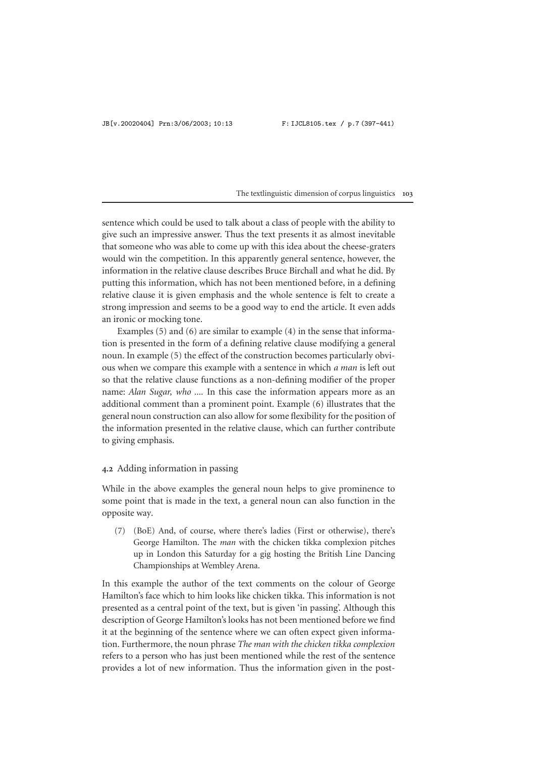sentence which could be used to talk about a class of people with the ability to give such an impressive answer. Thus the text presents it as almost inevitable that someone who was able to come up with this idea about the cheese-graters would win the competition. In this apparently general sentence, however, the information in the relative clause describes Bruce Birchall and what he did. By putting this information, which has not been mentioned before, in a defining relative clause it is given emphasis and the whole sentence is felt to create a strong impression and seems to be a good way to end the article. It even adds an ironic or mocking tone.

Examples (5) and (6) are similar to example (4) in the sense that information is presented in the form of a defining relative clause modifying a general noun. In example (5) the effect of the construction becomes particularly obvious when we compare this example with a sentence in which *a man* is left out so that the relative clause functions as a non-defining modifier of the proper name: *Alan Sugar, who ....* In this case the information appears more as an additional comment than a prominent point. Example (6) illustrates that the general noun construction can also allow for some flexibility for the position of the information presented in the relative clause, which can further contribute to giving emphasis.

# **.** Adding information in passing

While in the above examples the general noun helps to give prominence to some point that is made in the text, a general noun can also function in the opposite way.

(7) (BoE) And, of course, where there's ladies (First or otherwise), there's George Hamilton. The *man* with the chicken tikka complexion pitches up in London this Saturday for a gig hosting the British Line Dancing Championships at Wembley Arena.

In this example the author of the text comments on the colour of George Hamilton's face which to him looks like chicken tikka. This information is not presented as a central point of the text, but is given 'in passing'. Although this description of George Hamilton's looks has not been mentioned before we find it at the beginning of the sentence where we can often expect given information. Furthermore, the noun phrase *The man with the chicken tikka complexion* refers to a person who has just been mentioned while the rest of the sentence provides a lot of new information. Thus the information given in the post-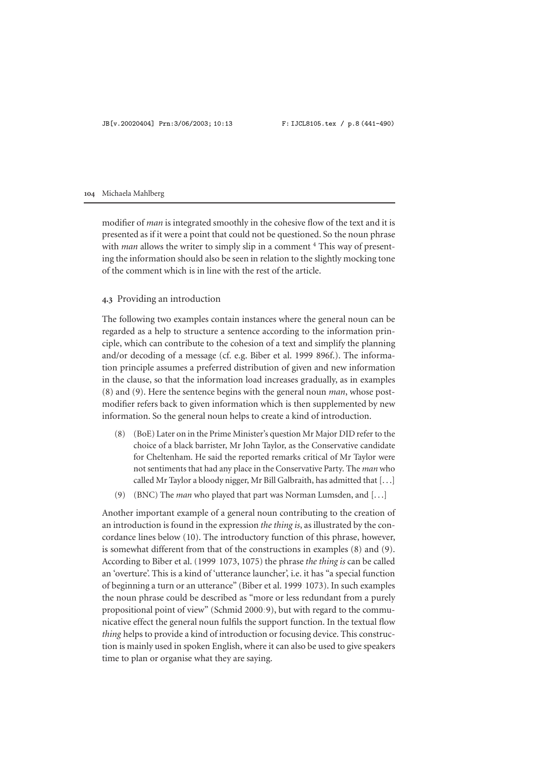modifier of *man* is integrated smoothly in the cohesive flow of the text and it is presented as if it were a point that could not be questioned. So the noun phrase with *man* allows the writer to simply slip in a comment.<sup>[4](#page-10-12)</sup> This way of presenting the information should also be seen in relation to the slightly mocking tone of the comment which is in line with the rest of the article.

# **.** Providing an introduction

The following two examples contain instances where the general noun can be regarded as a help to structure a sentence according to the information principle, which can contribute to the cohesion of a text and simplify the planning and/or decoding of a message (cf. e.g. Biber et al. [1999:](#page-10-13)896f.). The information principle assumes a preferred distribution of given and new information in the clause, so that the information load increases gradually, as in examples (8) and (9). Here the sentence begins with the general noun *man*, whose postmodifier refers back to given information which is then supplemented by new information. So the general noun helps to create a kind of introduction.

- (8) (BoE) Later on in the Prime Minister's question Mr Major DID refer to the choice of a black barrister, Mr John Taylor, as the Conservative candidate for Cheltenham. He said the reported remarks critical of Mr Taylor were not sentiments that had any place in the Conservative Party. The *man* who called Mr Taylor a bloody nigger, Mr Bill Galbraith, has admitted that [. . .]
- (9) (BNC) The *man* who played that part was Norman Lumsden, and [. . .]

Another important example of a general noun contributing to the creation of an introduction is found in the expression *the thing is*, as illustrated by the concordance lines below (10). The introductory function of this phrase, however, is somewhat different from that of the constructions in examples (8) and (9). According to Biber et al. [\(1999:](#page-10-13)1073, 1075) the phrase *the thing is* can be called an 'overture'. This is a kind of 'utterance launcher', i.e. it has "a special function of beginning a turn or an utterance" (Biber et al. [1999:](#page-10-13)1073). In such examples the noun phrase could be described as "more or less redundant from a purely propositional point of view" (Schmid [2000:](#page-10-2)9), but with regard to the communicative effect the general noun fulfils the support function. In the textual flow *thing* helps to provide a kind of introduction or focusing device. This construction is mainly used in spoken English, where it can also be used to give speakers time to plan or organise what they are saying.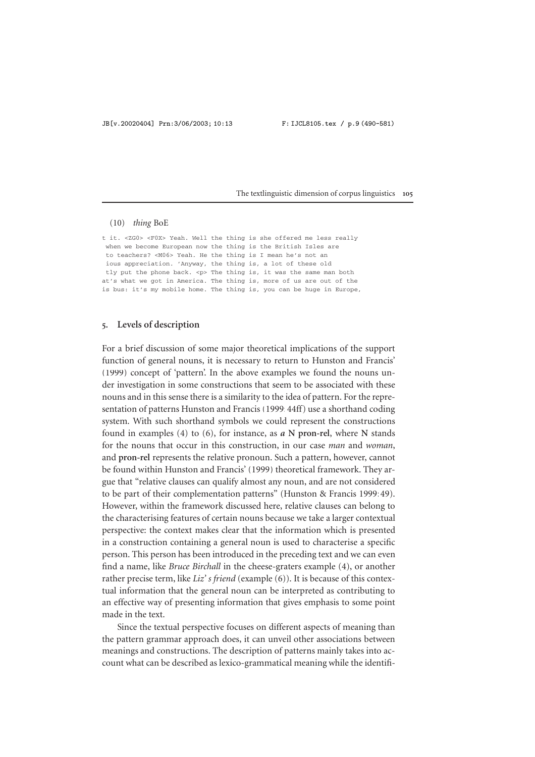#### (10) *thing* BoE

t it. <ZG0> <F0X> Yeah. Well the thing is she offered me less really when we become European now the thing is the British Isles are to teachers? <M06> Yeah. He the thing is I mean he's not an ious appreciation. 'Anyway, the thing is, a lot of these old tly put the phone back. <p> The thing is, it was the same man both at's what we got in America. The thing is, more of us are out of the is bus: it's my mobile home. The thing is, you can be huge in Europe,

## **. Levels of description**

For a brief discussion of some major theoretical implications of the support function of general nouns, it is necessary to return to Hunston and Francis' [\(1999\)](#page-10-8) concept of 'pattern'. In the above examples we found the nouns under investigation in some constructions that seem to be associated with these nouns and in this sense there is a similarity to the idea of pattern. For the representation of patterns Hunston and Francis [\(1999:](#page-10-8) 44ff) use a shorthand coding system. With such shorthand symbols we could represent the constructions found in examples (4) to (6), for instance, as *a* **N pron-rel**, where **N** stands for the nouns that occur in this construction, in our case *man* and *woman*, and **pron-rel** represents the relative pronoun. Such a pattern, however, cannot be found within Hunston and Francis' [\(1999\)](#page-10-8) theoretical framework. They argue that "relative clauses can qualify almost any noun, and are not considered to be part of their complementation patterns" (Hunston & Francis [1999:](#page-10-8)49). However, within the framework discussed here, relative clauses can belong to the characterising features of certain nouns because we take a larger contextual perspective: the context makes clear that the information which is presented in a construction containing a general noun is used to characterise a specific person. This person has been introduced in the preceding text and we can even find a name, like *Bruce Birchall* in the cheese-graters example (4), or another rather precise term, like *Liz' s friend* (example (6)). It is because of this contextual information that the general noun can be interpreted as contributing to an effective way of presenting information that gives emphasis to some point made in the text.

Since the textual perspective focuses on different aspects of meaning than the pattern grammar approach does, it can unveil other associations between meanings and constructions. The description of patterns mainly takes into account what can be described as lexico-grammatical meaning while the identifi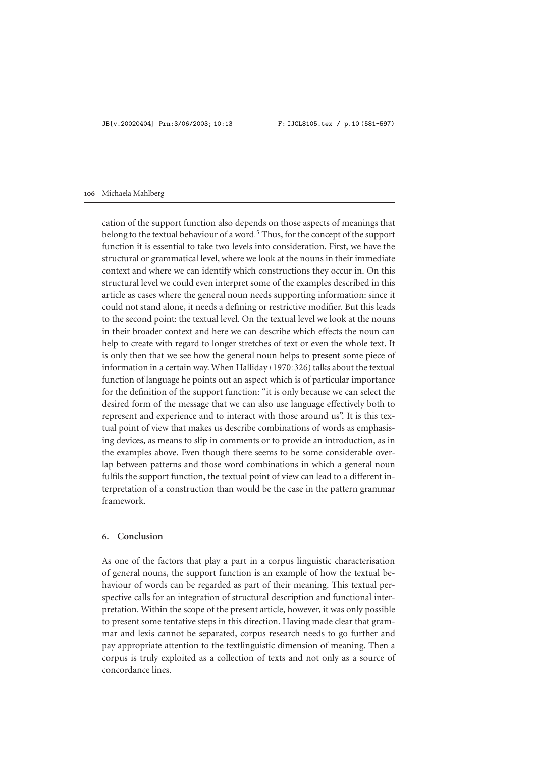cation of the support function also depends on those aspects of meanings that belong to the textual behaviour of a word.<sup>5</sup> Thus, for the concept of the support function it is essential to take two levels into consideration. First, we have the structural or grammatical level, where we look at the nouns in their immediate context and where we can identify which constructions they occur in. On this structural level we could even interpret some of the examples described in this article as cases where the general noun needs supporting information: since it could not stand alone, it needs a defining or restrictive modifier. But this leads to the second point: the textual level. On the textual level we look at the nouns in their broader context and here we can describe which effects the noun can help to create with regard to longer stretches of text or even the whole text. It is only then that we see how the general noun helps to **present** some piece of information in a certain way. When Halliday [\(1970:](#page-10-15)326) talks about the textual function of language he points out an aspect which is of particular importance for the definition of the support function: "it is only because we can select the desired form of the message that we can also use language effectively both to represent and experience and to interact with those around us". It is this textual point of view that makes us describe combinations of words as emphasising devices, as means to slip in comments or to provide an introduction, as in the examples above. Even though there seems to be some considerable overlap between patterns and those word combinations in which a general noun fulfils the support function, the textual point of view can lead to a different interpretation of a construction than would be the case in the pattern grammar framework.

# **. Conclusion**

As one of the factors that play a part in a corpus linguistic characterisation of general nouns, the support function is an example of how the textual behaviour of words can be regarded as part of their meaning. This textual perspective calls for an integration of structural description and functional interpretation. Within the scope of the present article, however, it was only possible to present some tentative steps in this direction. Having made clear that grammar and lexis cannot be separated, corpus research needs to go further and pay appropriate attention to the textlinguistic dimension of meaning. Then a corpus is truly exploited as a collection of texts and not only as a source of concordance lines.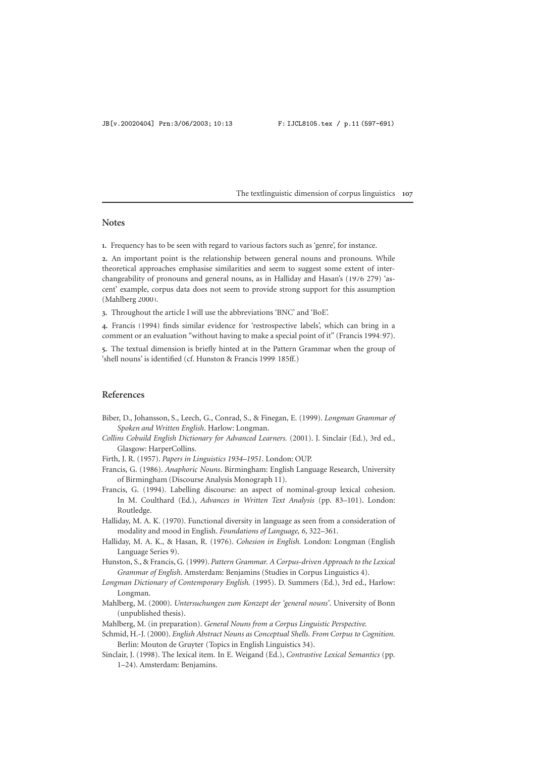### **Notes**

<span id="page-10-4"></span>**.** Frequency has to be seen with regard to various factors such as 'genre', for instance.

<span id="page-10-5"></span>**.** An important point is the relationship between general nouns and pronouns. While theoretical approaches emphasise similarities and seem to suggest some extent of interchangeability of pronouns and general nouns, as in Halliday and Hasan's [\(1976:](#page-10-0)279) 'ascent' example, corpus data does not seem to provide strong support for this assumption (Mahlberg [2000\)](#page-10-3).

<span id="page-10-9"></span>**.** Throughout the article I will use the abbreviations 'BNC' and 'BoE'.

<span id="page-10-12"></span>**.** Francis [\(1994\)](#page-10-16) finds similar evidence for 'restrospective labels', which can bring in a comment or an evaluation "without having to make a special point of it" (Francis [1994:](#page-10-16)97).

<span id="page-10-14"></span>**.** The textual dimension is briefly hinted at in the Pattern Grammar when the group of 'shell nouns' is identified (cf. Hunston & Francis [1999:](#page-10-8)185ff.)

# **References**

- <span id="page-10-13"></span>Biber, D., Johansson, S., Leech, G., Conrad, S., & Finegan, E. (1999). *Longman Grammar of Spoken and Written English*. Harlow: Longman.
- <span id="page-10-11"></span>*Collins Cobuild English Dictionary for Advanced Learners.* (2001). J. Sinclair (Ed.), 3rd ed., Glasgow: HarperCollins.
- Firth, J. R. (1957). *Papers in Linguistics 1934–1951*. London: OUP.
- <span id="page-10-6"></span><span id="page-10-1"></span>Francis, G. (1986). *Anaphoric Nouns*. Birmingham: English Language Research, University of Birmingham (Discourse Analysis Monograph 11).
- <span id="page-10-16"></span>Francis, G. (1994). Labelling discourse: an aspect of nominal-group lexical cohesion. In M. Coulthard (Ed.), *Advances in Written Text Analysis* (pp. 83–101). London: Routledge.
- <span id="page-10-15"></span>Halliday, M. A. K. (1970). Functional diversity in language as seen from a consideration of modality and mood in English. *Foundations of Language, 6*, 322–361.
- <span id="page-10-0"></span>Halliday, M. A. K., & Hasan, R. (1976). *Cohesion in English.* London: Longman (English Language Series 9).
- <span id="page-10-8"></span>Hunston, S., & Francis, G. (1999). *Pattern Grammar. A Corpus-driven Approach to the Lexical Grammar of English*. Amsterdam: Benjamins (Studies in Corpus Linguistics 4).
- <span id="page-10-10"></span>*Longman Dictionary of Contemporary English.* (1995). D. Summers (Ed.), 3rd ed., Harlow: Longman.
- <span id="page-10-3"></span>Mahlberg, M. (2000). *Untersuchungen zum Konzept der 'general nouns'*. University of Bonn (unpublished thesis).
- Mahlberg, M. (in preparation). *General Nouns from a Corpus Linguistic Perspective.*
- <span id="page-10-2"></span>Schmid, H.-J. (2000). *English Abstract Nouns as Conceptual Shells. From Corpus to Cognition.* Berlin: Mouton de Gruyter (Topics in English Linguistics 34).
- <span id="page-10-7"></span>Sinclair, J. (1998). The lexical item. In E. Weigand (Ed.), *Contrastive Lexical Semantics* (pp. 1–24). Amsterdam: Benjamins.